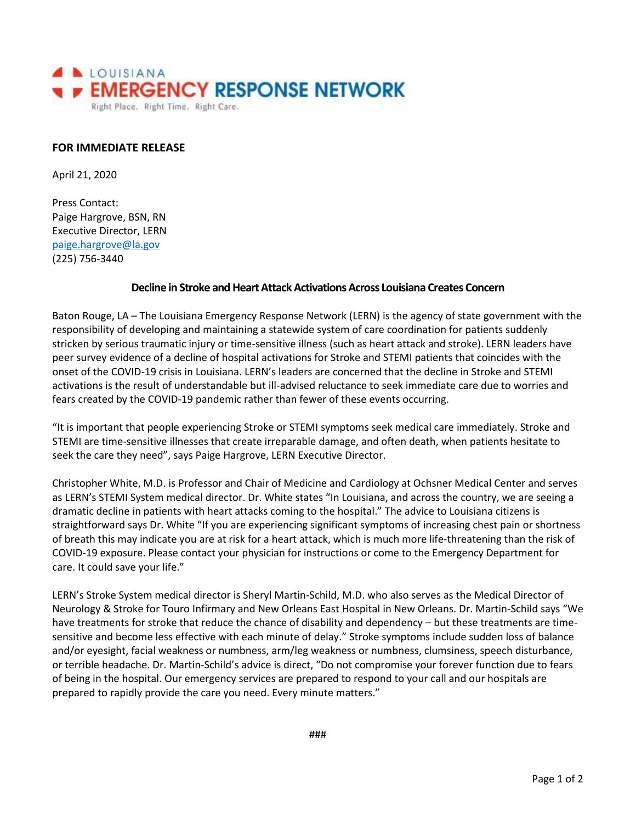

## **FOR IMMEDIATE RELEASE**

April 21, 2020

Press Contact: Paige Hargrove, BSN, RN Executive Director, LERN [paige.hargrove@la.gov](mailto:paige.hargrove@la.gov) (225) 756-3440

## **Decline in Stroke and Heart Attack Activations Across Louisiana Creates Concern**

Baton Rouge, LA – The Louisiana Emergency Response Network (LERN) is the agency of state government with the responsibility of developing and maintaining a statewide system of care coordination for patients suddenly stricken by serious traumatic injury or time-sensitive illness (such as heart attack and stroke). LERN leaders have peer survey evidence of a decline of hospital activations for Stroke and STEMI patients that coincides with the onset of the COVID-19 crisis in Louisiana. LERN's leaders are concerned that the decline in Stroke and STEMI activations is the result of understandable but ill-advised reluctance to seek immediate care due to worries and fears created by the COVID-19 pandemic rather than fewer of these events occurring.

"It is important that people experiencing Stroke or STEMI symptoms seek medical care immediately. Stroke and STEMI are time-sensitive illnesses that create irreparable damage, and often death, when patients hesitate to seek the care they need", says Paige Hargrove, LERN Executive Director.

Christopher White, M.D. is Professor and Chair of Medicine and Cardiology at Ochsner Medical Center and serves as LERN's STEMI System medical director. Dr. White states "In Louisiana, and across the country, we are seeing a dramatic decline in patients with heart attacks coming to the hospital." The advice to Louisiana citizens is straightforward says Dr. White "If you are experiencing significant symptoms of increasing chest pain or shortness of breath this may indicate you are at risk for a heart attack, which is much more life-threatening than the risk of COVID-19 exposure. Please contact your physician for instructions or come to the Emergency Department for care. It could save your life."

LERN's Stroke System medical director is Sheryl Martin-Schild, M.D. who also serves as the Medical Director of Neurology & Stroke for Touro Infirmary and New Orleans East Hospital in New Orleans. Dr. Martin-Schild says "We have treatments for stroke that reduce the chance of disability and dependency – but these treatments are timesensitive and become less effective with each minute of delay." Stroke symptoms include sudden loss of balance and/or eyesight, facial weakness or numbness, arm/leg weakness or numbness, clumsiness, speech disturbance, or terrible headache. Dr. Martin-Schild's advice is direct, "Do not compromise your forever function due to fears of being in the hospital. Our emergency services are prepared to respond to your call and our hospitals are prepared to rapidly provide the care you need. Every minute matters."